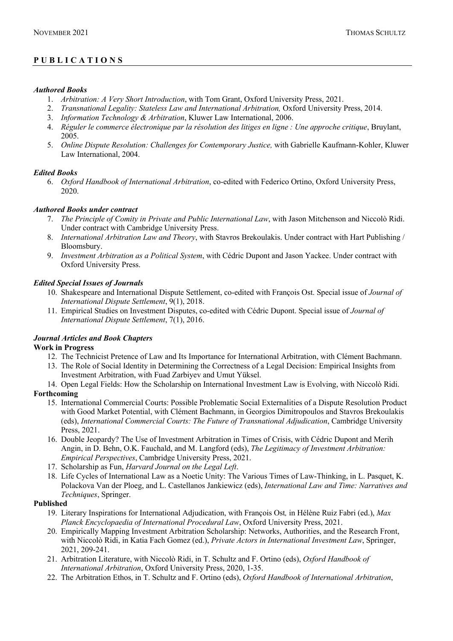# **PUBLICATIONS**

#### *Authored Books*

- 1. *Arbitration: A Very Short Introduction*, with Tom Grant, Oxford University Press, 2021.
- 2. *Transnational Legality: Stateless Law and International Arbitration*, Oxford University Press, 2014.
- 3. *Information Technology & Arbitration*, Kluwer Law International, 2006.
- 4. *Réguler le commerce électronique par la résolution des litiges en ligne : Une approche critique*, Bruylant, 2005.
- 5. *Online Dispute Resolution: Challenges for Contemporary Justice,* with Gabrielle Kaufmann-Kohler, Kluwer Law International, 2004.

# *Edited Books*

6. *Oxford Handbook of International Arbitration*, co-edited with Federico Ortino, Oxford University Press, 2020.

# *Authored Books under contract*

- 7. *The Principle of Comity in Private and Public International Law*, with Jason Mitchenson and Niccolò Ridi. Under contract with Cambridge University Press.
- 8. *International Arbitration Law and Theory*, with Stavros Brekoulakis. Under contract with Hart Publishing / Bloomsbury.
- 9. *Investment Arbitration as a Political System*, with Cédric Dupont and Jason Yackee. Under contract with Oxford University Press.

# *Edited Special Issues of Journals*

- 10. Shakespeare and International Dispute Settlement, co-edited with François Ost. Special issue of *Journal of International Dispute Settlement*, 9(1), 2018.
- 11. Empirical Studies on Investment Disputes, co-edited with Cédric Dupont. Special issue of *Journal of International Dispute Settlement*, 7(1), 2016.

# *Journal Articles and Book Chapters*

#### **Work in Progress**

- 12. The Technicist Pretence of Law and Its Importance for International Arbitration, with Clément Bachmann.
- 13. The Role of Social Identity in Determining the Correctness of a Legal Decision: Empirical Insights from Investment Arbitration, with Fuad Zarbiyev and Umut Yüksel.
- 14. Open Legal Fields: How the Scholarship on International Investment Law is Evolving, with Niccolò Ridi. **Forthcoming**
	- 15. International Commercial Courts: Possible Problematic Social Externalities of a Dispute Resolution Product with Good Market Potential, with Clément Bachmann, in Georgios Dimitropoulos and Stavros Brekoulakis (eds), *International Commercial Courts: The Future of Transnational Adjudication*, Cambridge University Press, 2021.
	- 16. Double Jeopardy? The Use of Investment Arbitration in Times of Crisis, with Cédric Dupont and Merih Angin, in D. Behn, O.K. Fauchald, and M. Langford (eds), *The Legitimacy of Investment Arbitration: Empirical Perspectives*, Cambridge University Press, 2021.
	- 17. Scholarship as Fun, *Harvard Journal on the Legal Left*.
	- 18. Life Cycles of International Law as a Noetic Unity: The Various Times of Law-Thinking, in L. Pasquet, K. Polackova Van der Ploeg, and L. Castellanos Jankiewicz (eds), *International Law and Time: Narratives and Techniques*, Springer.

#### **Published**

- 19. Literary Inspirations for International Adjudication, with François Ost*,* in Hélène Ruiz Fabri (ed.), *Max Planck Encyclopaedia of International Procedural Law*, Oxford University Press, 2021.
- 20. Empirically Mapping Investment Arbitration Scholarship: Networks, Authorities, and the Research Front, with Niccolò Ridi, in Katia Fach Gomez (ed.), *Private Actors in International Investment Law*, Springer, 2021, 209-241.
- 21. Arbitration Literature, with Niccolò Ridi, in T. Schultz and F. Ortino (eds), *Oxford Handbook of International Arbitration*, Oxford University Press, 2020, 1-35.
- 22. The Arbitration Ethos, in T. Schultz and F. Ortino (eds), *Oxford Handbook of International Arbitration*,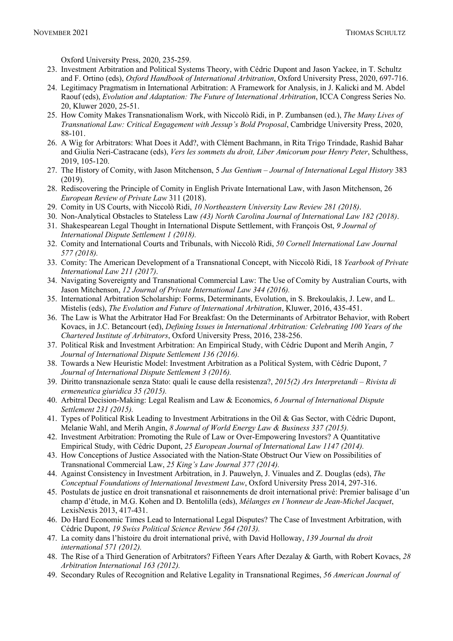Oxford University Press, 2020, 235-259.

- 23. Investment Arbitration and Political Systems Theory, with Cédric Dupont and Jason Yackee, in T. Schultz and F. Ortino (eds), *Oxford Handbook of International Arbitration*, Oxford University Press, 2020, 697-716.
- 24. Legitimacy Pragmatism in International Arbitration: A Framework for Analysis, in J. Kalicki and M. Abdel Raouf (eds), *Evolution and Adaptation: The Future of International Arbitration*, ICCA Congress Series No. 20, Kluwer 2020, 25-51.
- 25. How Comity Makes Transnationalism Work, with Niccolò Ridi, in P. Zumbansen (ed.), *The Many Lives of Transnational Law: Critical Engagement with Jessup's Bold Proposal*, Cambridge University Press, 2020, 88-101.
- 26. A Wig for Arbitrators: What Does it Add?, with Clément Bachmann, in Rita Trigo Trindade, Rashid Bahar and Giulia Neri-Castracane (eds), *Vers les sommets du droit, Liber Amicorum pour Henry Peter*, Schulthess, 2019, 105-120.
- 27. The History of Comity, with Jason Mitchenson, 5 *Jus Gentium – Journal of International Legal History* 383 (2019).
- 28. Rediscovering the Principle of Comity in English Private International Law, with Jason Mitchenson, 26 *European Review of Private Law* 311 (2018).
- 29. Comity in US Courts, with Niccolò Ridi, *10 Northeastern University Law Review 281 (2018)*.
- 30. Non-Analytical Obstacles to Stateless Law *(43) North Carolina Journal of International Law 182 (2018)*.
- 31. Shakespearean Legal Thought in International Dispute Settlement, with François Ost, *9 Journal of International Dispute Settlement 1 (2018).*
- 32. Comity and International Courts and Tribunals, with Niccolò Ridi, *50 Cornell International Law Journal 577 (2018).*
- 33. Comity: The American Development of a Transnational Concept, with Niccolò Ridi, 18 *Yearbook of Private International Law 211 (2017)*.
- 34. Navigating Sovereignty and Transnational Commercial Law: The Use of Comity by Australian Courts, with Jason Mitchenson, *12 Journal of Private International Law 344 (2016).*
- 35. International Arbitration Scholarship: Forms, Determinants, Evolution, in S. Brekoulakis, J. Lew, and L. Mistelis (eds), *The Evolution and Future of International Arbitration*, Kluwer, 2016, 435-451.
- 36. The Law is What the Arbitrator Had For Breakfast: On the Determinants of Arbitrator Behavior, with Robert Kovacs, in J.C. Betancourt (ed), *Defining Issues in International Arbitration: Celebrating 100 Years of the Chartered Institute of Arbitrators*, Oxford University Press, 2016, 238-256.
- 37. Political Risk and Investment Arbitration: An Empirical Study, with Cédric Dupont and Merih Angin, *7 Journal of International Dispute Settlement 136 (2016).*
- 38. Towards a New Heuristic Model: Investment Arbitration as a Political System, with Cédric Dupont, *7 Journal of International Dispute Settlement 3 (2016).*
- 39. Diritto transnazionale senza Stato: quali le cause della resistenza?, *2015(2) Ars Interpretandi – Rivista di ermeneutica giuridica 35 (2015).*
- 40. Arbitral Decision-Making: Legal Realism and Law & Economics, *6 Journal of International Dispute Settlement 231 (2015).*
- 41. Types of Political Risk Leading to Investment Arbitrations in the Oil & Gas Sector, with Cédric Dupont, Melanie Wahl, and Merih Angin, *8 Journal of World Energy Law & Business 337 (2015).*
- 42. Investment Arbitration: Promoting the Rule of Law or Over-Empowering Investors? A Quantitative Empirical Study, with Cédric Dupont, *25 European Journal of International Law 1147 (2014).*
- 43. How Conceptions of Justice Associated with the Nation-State Obstruct Our View on Possibilities of Transnational Commercial Law, *25 King's Law Journal 377 (2014).*
- 44. Against Consistency in Investment Arbitration, in J. Pauwelyn, J. Vinuales and Z. Douglas (eds), *The Conceptual Foundations of International Investment Law*, Oxford University Press 2014, 297-316.
- 45. Postulats de justice en droit transnational et raisonnements de droit international privé: Premier balisage d'un champ d'étude, in M.G. Kohen and D. Bentolilla (eds), *Mélanges en l'honneur de Jean-Michel Jacquet*, LexisNexis 2013, 417-431.
- 46. Do Hard Economic Times Lead to International Legal Disputes? The Case of Investment Arbitration, with Cédric Dupont, *19 Swiss Political Science Review 564 (2013).*
- 47. La comity dans l'histoire du droit international privé, with David Holloway, *139 Journal du droit international 571 (2012).*
- 48. The Rise of a Third Generation of Arbitrators? Fifteen Years After Dezalay & Garth, with Robert Kovacs, *28 Arbitration International 163 (2012).*
- 49. Secondary Rules of Recognition and Relative Legality in Transnational Regimes, *56 American Journal of*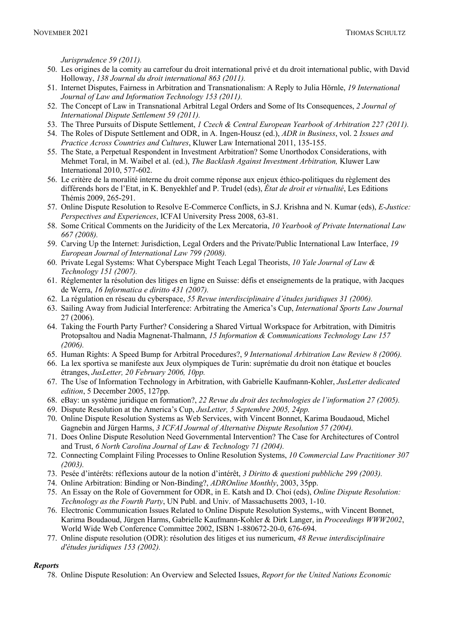*Jurisprudence 59 (2011).* 

- 50. Les origines de la comity au carrefour du droit international privé et du droit international public, with David Holloway, *138 Journal du droit international 863 (2011).*
- 51. Internet Disputes, Fairness in Arbitration and Transnationalism: A Reply to Julia Hörnle, *19 International Journal of Law and Information Technology 153 (2011).*
- 52. The Concept of Law in Transnational Arbitral Legal Orders and Some of Its Consequences, *2 Journal of International Dispute Settlement 59 (2011).*
- 53. The Three Pursuits of Dispute Settlement, *1 Czech & Central European Yearbook of Arbitration 227 (2011).*
- 54. The Roles of Dispute Settlement and ODR, in A. Ingen-Housz (ed.), *ADR in Business*, vol. 2 *Issues and Practice Across Countries and Cultures*, Kluwer Law International 2011, 135-155.
- 55. The State, a Perpetual Respondent in Investment Arbitration? Some Unorthodox Considerations, with Mehmet Toral, in M. Waibel et al. (ed.), *The Backlash Against Investment Arbitration,* Kluwer Law International 2010, 577-602.
- 56. Le critère de la moralité interne du droit comme réponse aux enjeux éthico-politiques du règlement des différends hors de l'Etat, in K. Benyekhlef and P. Trudel (eds), *État de droit et virtualité*, Les Editions Thémis 2009, 265-291.
- 57. Online Dispute Resolution to Resolve E-Commerce Conflicts, in S.J. Krishna and N. Kumar (eds), *E-Justice: Perspectives and Experiences*, ICFAI University Press 2008, 63-81.
- 58. Some Critical Comments on the Juridicity of the Lex Mercatoria, *10 Yearbook of Private International Law 667 (2008).*
- 59. Carving Up the Internet: Jurisdiction, Legal Orders and the Private/Public International Law Interface, *19 European Journal of International Law 799 (2008).*
- 60. Private Legal Systems: What Cyberspace Might Teach Legal Theorists, *10 Yale Journal of Law & Technology 151 (2007).*
- 61. Réglementer la résolution des litiges en ligne en Suisse: défis et enseignements de la pratique, with Jacques de Werra, *16 Informatica e diritto 431 (2007).*
- 62. La régulation en réseau du cyberspace, *55 Revue interdisciplinaire d'études juridiques 31 (2006).*
- 63. Sailing Away from Judicial Interference: Arbitrating the America's Cup, *International Sports Law Journal* 27 (2006).
- 64. Taking the Fourth Party Further? Considering a Shared Virtual Workspace for Arbitration, with Dimitris Protopsaltou and Nadia Magnenat-Thalmann, *15 Information & Communications Technology Law 157 (2006).*
- 65. Human Rights: A Speed Bump for Arbitral Procedures?, *9 International Arbitration Law Review 8 (2006).*
- 66. La lex sportiva se manifeste aux Jeux olympiques de Turin: suprématie du droit non étatique et boucles étranges, *JusLetter, 20 February 2006, 10pp.*
- 67. The Use of Information Technology in Arbitration, with Gabrielle Kaufmann-Kohler, *JusLetter dedicated edition*, 5 December 2005, 127pp.
- 68. eBay: un système juridique en formation?, *22 Revue du droit des technologies de l'information 27 (2005).*
- 69. Dispute Resolution at the America's Cup, *JusLetter, 5 Septembre 2005, 24pp.*
- 70. Online Dispute Resolution Systems as Web Services, with Vincent Bonnet, Karima Boudaoud, Michel Gagnebin and Jürgen Harms, *3 ICFAI Journal of Alternative Dispute Resolution 57 (2004).*
- 71. Does Online Dispute Resolution Need Governmental Intervention? The Case for Architectures of Control and Trust, *6 North Carolina Journal of Law & Technology 71 (2004).*
- 72. Connecting Complaint Filing Processes to Online Resolution Systems, *10 Commercial Law Practitioner 307 (2003).*
- 73. Pesée d'intérêts: réflexions autour de la notion d'intérêt, *3 Diritto & questioni pubbliche 299 (2003).*
- 74. Online Arbitration: Binding or Non-Binding?, *ADROnline Monthly*, 2003, 35pp.
- 75. An Essay on the Role of Government for ODR, in E. Katsh and D. Choi (eds), *Online Dispute Resolution: Technology as the Fourth Party*, UN Publ. and Univ. of Massachusetts 2003, 1-10.
- 76. Electronic Communication Issues Related to Online Dispute Resolution Systems,, with Vincent Bonnet, Karima Boudaoud, Jürgen Harms, Gabrielle Kaufmann-Kohler & Dirk Langer, in *Proceedings WWW2002*, World Wide Web Conference Committee 2002, ISBN 1-880672-20-0, 676-694.
- 77. Online dispute resolution (ODR): résolution des litiges et ius numericum, *48 Revue interdisciplinaire d'études juridiques 153 (2002).*

#### *Reports*

78. Online Dispute Resolution: An Overview and Selected Issues, *Report for the United Nations Economic*